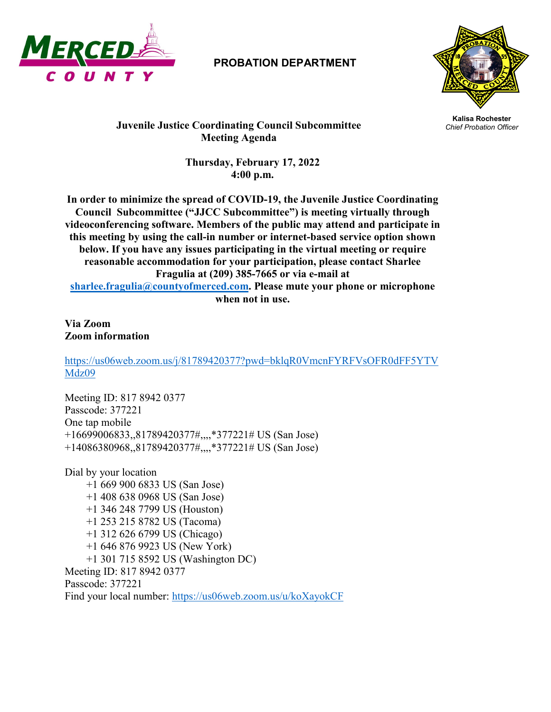

## **PROBATION DEPARTMENT**



**Kalisa Rochester Juvenile Justice Coordinating Council Subcommittee** *Chief Probation Officer* **Meeting Agenda**

> **Thursday, February 17, 2022 4:00 p.m.**

**In order to minimize the spread of COVID-19, the Juvenile Justice Coordinating Council Subcommittee ("JJCC Subcommittee") is meeting virtually through videoconferencing software. Members of the public may attend and participate in this meeting by using the call-in number or internet-based service option shown below. If you have any issues participating in the virtual meeting or require reasonable accommodation for your participation, please contact Sharlee Fragulia at (209) 385-7665 or via e-mail at [sharlee.fragulia@countyofmerced.com.](mailto:sharlee.fragulia@countyofmerced.com) Please mute your phone or microphone when not in use.**

**Via Zoom Zoom information**

[https://us06web.zoom.us/j/81789420377?pwd=bklqR0VmcnFYRFVsOFR0dFF5YTV](https://us06web.zoom.us/j/81789420377?pwd=bklqR0VmcnFYRFVsOFR0dFF5YTVMdz09) [Mdz09](https://us06web.zoom.us/j/81789420377?pwd=bklqR0VmcnFYRFVsOFR0dFF5YTVMdz09)

Meeting ID: 817 8942 0377 Passcode: 377221 One tap mobile +16699006833,,81789420377#,,,,\*377221# US (San Jose) +14086380968,,81789420377#,,,,\*377221# US (San Jose)

Dial by your location +1 669 900 6833 US (San Jose) +1 408 638 0968 US (San Jose) +1 346 248 7799 US (Houston) +1 253 215 8782 US (Tacoma) +1 312 626 6799 US (Chicago) +1 646 876 9923 US (New York) +1 301 715 8592 US (Washington DC) Meeting ID: 817 8942 0377 Passcode: 377221 Find your local number:<https://us06web.zoom.us/u/koXayokCF>